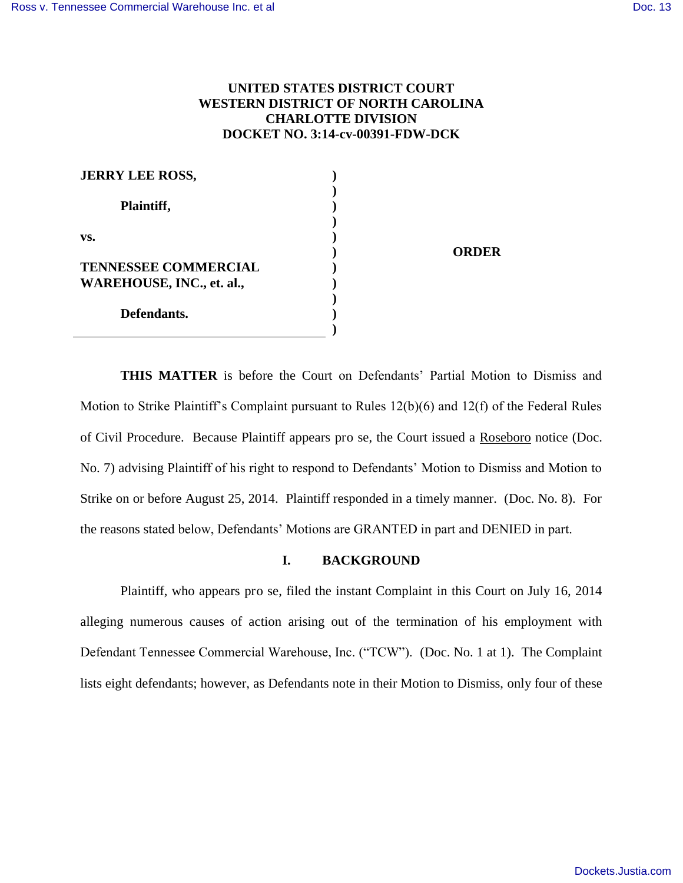# **UNITED STATES DISTRICT COURT WESTERN DISTRICT OF NORTH CAROLINA CHARLOTTE DIVISION DOCKET NO. 3:14-cv-00391-FDW-DCK**

**ORDER** 

| <b>JERRY LEE ROSS,</b>           |  |
|----------------------------------|--|
|                                  |  |
| Plaintiff,                       |  |
|                                  |  |
| VS.                              |  |
|                                  |  |
| <b>TENNESSEE COMMERCIAL</b>      |  |
| <b>WAREHOUSE, INC., et. al.,</b> |  |
|                                  |  |
| Defendants.                      |  |
|                                  |  |

**THIS MATTER** is before the Court on Defendants' Partial Motion to Dismiss and Motion to Strike Plaintiff's Complaint pursuant to Rules 12(b)(6) and 12(f) of the Federal Rules of Civil Procedure. Because Plaintiff appears pro se, the Court issued a Roseboro notice (Doc. No. 7) advising Plaintiff of his right to respond to Defendants' Motion to Dismiss and Motion to Strike on or before August 25, 2014. Plaintiff responded in a timely manner. (Doc. No. 8). For the reasons stated below, Defendants' Motions are GRANTED in part and DENIED in part.

## **I. BACKGROUND**

Plaintiff, who appears pro se, filed the instant Complaint in this Court on July 16, 2014 alleging numerous causes of action arising out of the termination of his employment with Defendant Tennessee Commercial Warehouse, Inc. ("TCW"). (Doc. No. 1 at 1). The Complaint lists eight defendants; however, as Defendants note in their Motion to Dismiss, only four of these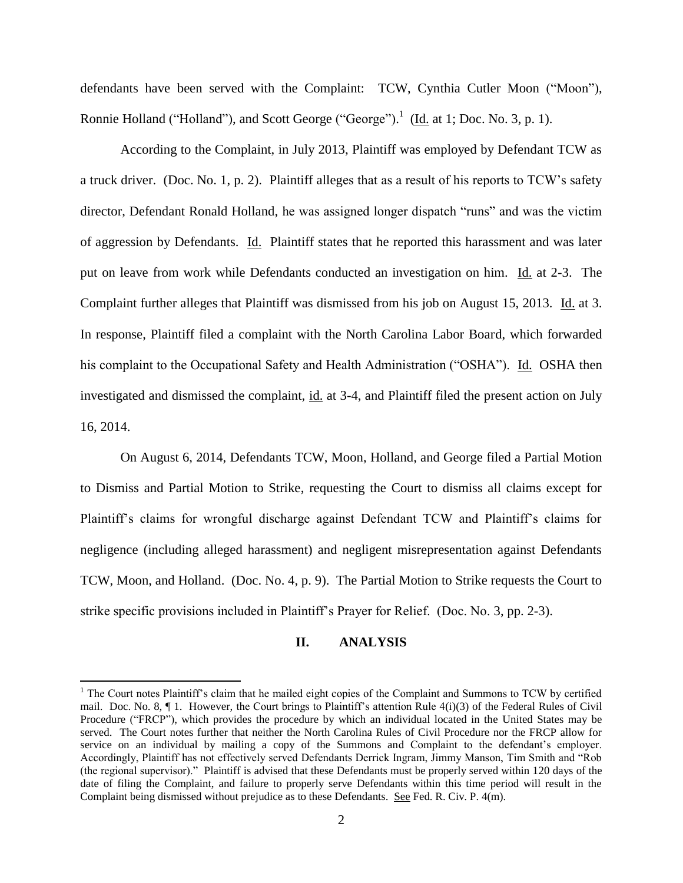defendants have been served with the Complaint: TCW, Cynthia Cutler Moon ("Moon"), Ronnie Holland ("Holland"), and Scott George ("George").<sup>1</sup> (Id. at 1; Doc. No. 3, p. 1).

According to the Complaint, in July 2013, Plaintiff was employed by Defendant TCW as a truck driver. (Doc. No. 1, p. 2). Plaintiff alleges that as a result of his reports to TCW's safety director, Defendant Ronald Holland, he was assigned longer dispatch "runs" and was the victim of aggression by Defendants. Id. Plaintiff states that he reported this harassment and was later put on leave from work while Defendants conducted an investigation on him. Id. at 2-3. The Complaint further alleges that Plaintiff was dismissed from his job on August 15, 2013. Id. at 3. In response, Plaintiff filed a complaint with the North Carolina Labor Board, which forwarded his complaint to the Occupational Safety and Health Administration ("OSHA"). Id. OSHA then investigated and dismissed the complaint, id. at 3-4, and Plaintiff filed the present action on July 16, 2014.

On August 6, 2014, Defendants TCW, Moon, Holland, and George filed a Partial Motion to Dismiss and Partial Motion to Strike, requesting the Court to dismiss all claims except for Plaintiff's claims for wrongful discharge against Defendant TCW and Plaintiff's claims for negligence (including alleged harassment) and negligent misrepresentation against Defendants TCW, Moon, and Holland. (Doc. No. 4, p. 9). The Partial Motion to Strike requests the Court to strike specific provisions included in Plaintiff's Prayer for Relief. (Doc. No. 3, pp. 2-3).

### **II. ANALYSIS**

 $\overline{a}$ 

<sup>&</sup>lt;sup>1</sup> The Court notes Plaintiff's claim that he mailed eight copies of the Complaint and Summons to TCW by certified mail. Doc. No. 8, ¶ 1. However, the Court brings to Plaintiff's attention Rule 4(i)(3) of the Federal Rules of Civil Procedure ("FRCP"), which provides the procedure by which an individual located in the United States may be served. The Court notes further that neither the North Carolina Rules of Civil Procedure nor the FRCP allow for service on an individual by mailing a copy of the Summons and Complaint to the defendant's employer. Accordingly, Plaintiff has not effectively served Defendants Derrick Ingram, Jimmy Manson, Tim Smith and "Rob (the regional supervisor)." Plaintiff is advised that these Defendants must be properly served within 120 days of the date of filing the Complaint, and failure to properly serve Defendants within this time period will result in the Complaint being dismissed without prejudice as to these Defendants. See Fed. R. Civ. P. 4(m).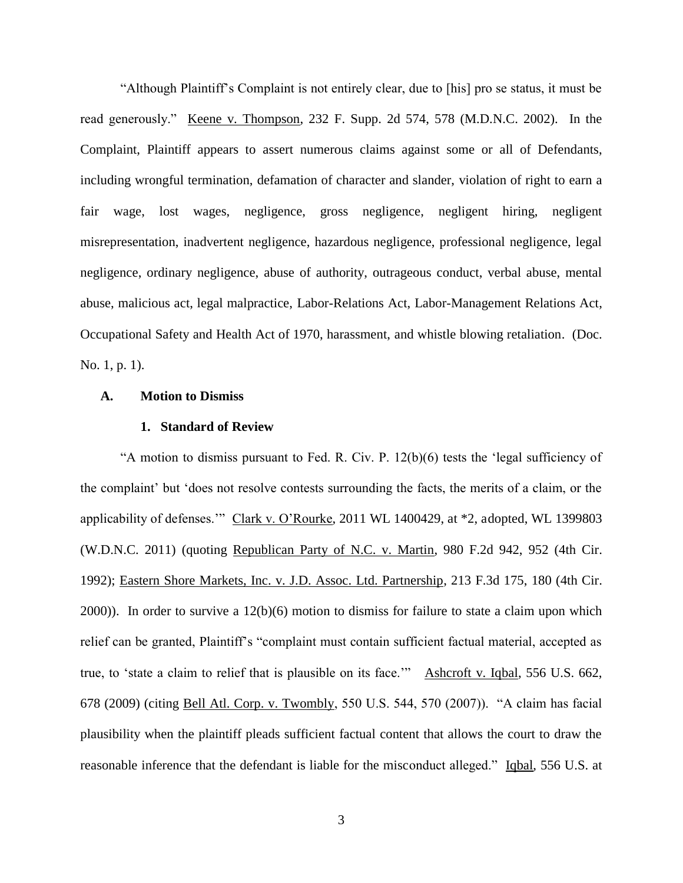"Although Plaintiff's Complaint is not entirely clear, due to [his] pro se status, it must be read generously." Keene v. Thompson, 232 F. Supp. 2d 574, 578 (M.D.N.C. 2002). In the Complaint, Plaintiff appears to assert numerous claims against some or all of Defendants, including wrongful termination, defamation of character and slander, violation of right to earn a fair wage, lost wages, negligence, gross negligence, negligent hiring, negligent misrepresentation, inadvertent negligence, hazardous negligence, professional negligence, legal negligence, ordinary negligence, abuse of authority, outrageous conduct, verbal abuse, mental abuse, malicious act, legal malpractice, Labor-Relations Act, Labor-Management Relations Act, Occupational Safety and Health Act of 1970, harassment, and whistle blowing retaliation. (Doc. No. 1, p. 1).

#### **A. Motion to Dismiss**

#### **1. Standard of Review**

"A motion to dismiss pursuant to Fed. R. Civ. P. 12(b)(6) tests the 'legal sufficiency of the complaint' but 'does not resolve contests surrounding the facts, the merits of a claim, or the applicability of defenses.'" Clark v. O'Rourke, 2011 WL 1400429, at \*2, adopted, WL 1399803 (W.D.N.C. 2011) (quoting Republican Party of N.C. v. Martin, 980 F.2d 942, 952 (4th Cir. 1992); Eastern Shore Markets, Inc. v. J.D. Assoc. Ltd. Partnership, 213 F.3d 175, 180 (4th Cir. 2000)). In order to survive a 12(b)(6) motion to dismiss for failure to state a claim upon which relief can be granted, Plaintiff's "complaint must contain sufficient factual material, accepted as true, to 'state a claim to relief that is plausible on its face.'" Ashcroft v. Iqbal, 556 U.S. 662, 678 (2009) (citing Bell Atl. Corp. v. Twombly, 550 U.S. 544, 570 (2007)). "A claim has facial plausibility when the plaintiff pleads sufficient factual content that allows the court to draw the reasonable inference that the defendant is liable for the misconduct alleged." Igbal, 556 U.S. at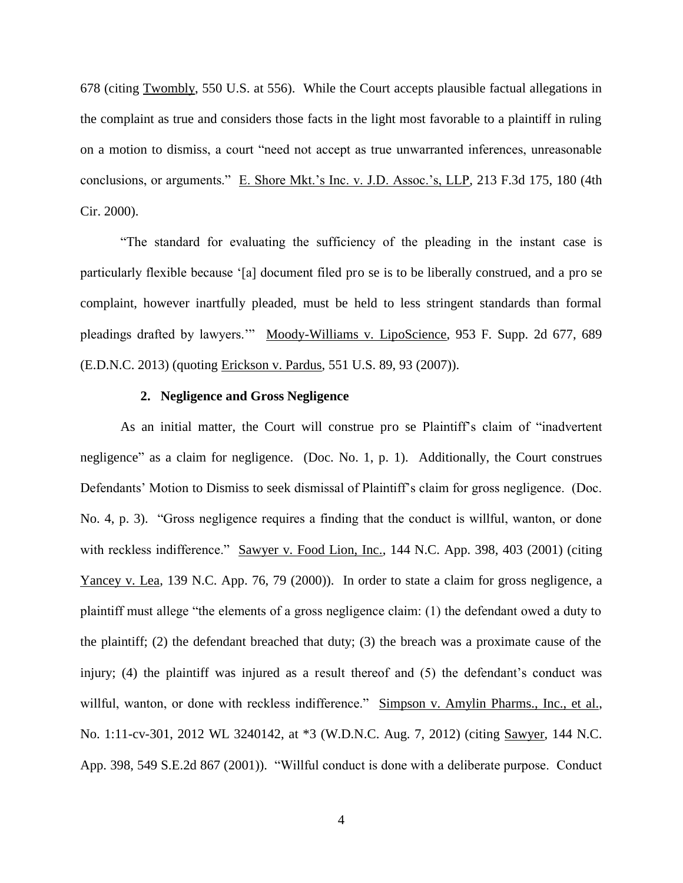678 (citing Twombly, 550 U.S. at 556). While the Court accepts plausible factual allegations in the complaint as true and considers those facts in the light most favorable to a plaintiff in ruling on a motion to dismiss, a court "need not accept as true unwarranted inferences, unreasonable conclusions, or arguments." E. Shore Mkt.'s Inc. v. J.D. Assoc.'s, LLP, 213 F.3d 175, 180 (4th Cir. 2000).

"The standard for evaluating the sufficiency of the pleading in the instant case is particularly flexible because '[a] document filed pro se is to be liberally construed, and a pro se complaint, however inartfully pleaded, must be held to less stringent standards than formal pleadings drafted by lawyers.'" Moody-Williams v. LipoScience, 953 F. Supp. 2d 677, 689 (E.D.N.C. 2013) (quoting Erickson v. Pardus, 551 U.S. 89, 93 (2007)).

### **2. Negligence and Gross Negligence**

As an initial matter, the Court will construe pro se Plaintiff's claim of "inadvertent negligence" as a claim for negligence. (Doc. No. 1, p. 1). Additionally, the Court construes Defendants' Motion to Dismiss to seek dismissal of Plaintiff's claim for gross negligence. (Doc. No. 4, p. 3). "Gross negligence requires a finding that the conduct is willful, wanton, or done with reckless indifference." Sawyer v. Food Lion, Inc., 144 N.C. App. 398, 403 (2001) (citing Yancey v. Lea, 139 N.C. App. 76, 79 (2000)). In order to state a claim for gross negligence, a plaintiff must allege "the elements of a gross negligence claim: (1) the defendant owed a duty to the plaintiff; (2) the defendant breached that duty; (3) the breach was a proximate cause of the injury; (4) the plaintiff was injured as a result thereof and (5) the defendant's conduct was willful, wanton, or done with reckless indifference." Simpson v. Amylin Pharms., Inc., et al., No. 1:11-cv-301, 2012 WL 3240142, at \*3 (W.D.N.C. Aug. 7, 2012) (citing Sawyer, 144 N.C. App. 398, 549 S.E.2d 867 (2001)). "Willful conduct is done with a deliberate purpose. Conduct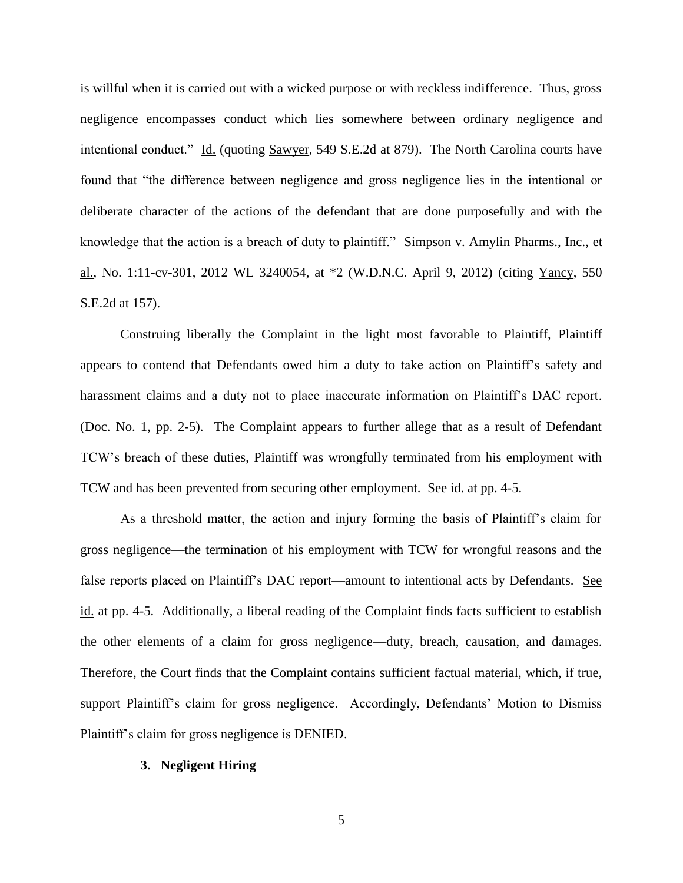is willful when it is carried out with a wicked purpose or with reckless indifference. Thus, gross negligence encompasses conduct which lies somewhere between ordinary negligence and intentional conduct." Id. (quoting Sawyer, 549 S.E.2d at 879). The North Carolina courts have found that "the difference between negligence and gross negligence lies in the intentional or deliberate character of the actions of the defendant that are done purposefully and with the knowledge that the action is a breach of duty to plaintiff." Simpson v. Amylin Pharms., Inc., et al., No. 1:11-cv-301, 2012 WL 3240054, at \*2 (W.D.N.C. April 9, 2012) (citing Yancy, 550 S.E.2d at 157).

Construing liberally the Complaint in the light most favorable to Plaintiff, Plaintiff appears to contend that Defendants owed him a duty to take action on Plaintiff's safety and harassment claims and a duty not to place inaccurate information on Plaintiff's DAC report. (Doc. No. 1, pp. 2-5). The Complaint appears to further allege that as a result of Defendant TCW's breach of these duties, Plaintiff was wrongfully terminated from his employment with TCW and has been prevented from securing other employment. See id. at pp. 4-5.

As a threshold matter, the action and injury forming the basis of Plaintiff's claim for gross negligence—the termination of his employment with TCW for wrongful reasons and the false reports placed on Plaintiff's DAC report—amount to intentional acts by Defendants. See id. at pp. 4-5. Additionally, a liberal reading of the Complaint finds facts sufficient to establish the other elements of a claim for gross negligence—duty, breach, causation, and damages. Therefore, the Court finds that the Complaint contains sufficient factual material, which, if true, support Plaintiff's claim for gross negligence. Accordingly, Defendants' Motion to Dismiss Plaintiff's claim for gross negligence is DENIED.

#### **3. Negligent Hiring**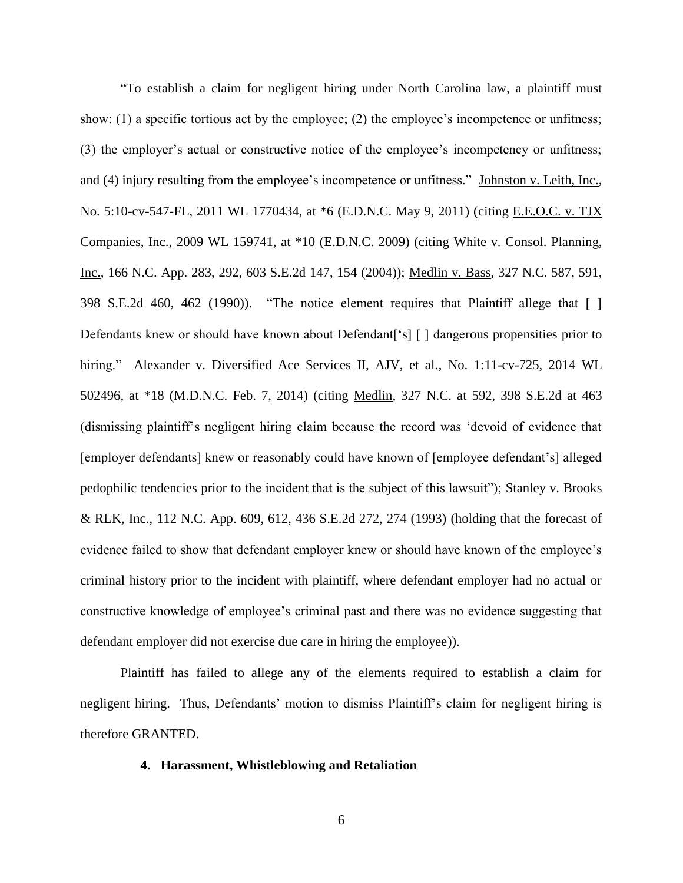"To establish a claim for negligent hiring under North Carolina law, a plaintiff must show: (1) a specific tortious act by the employee; (2) the employee's incompetence or unfitness; (3) the employer's actual or constructive notice of the employee's incompetency or unfitness; and (4) injury resulting from the employee's incompetence or unfitness." Johnston v. Leith, Inc., No. 5:10-cv-547-FL, 2011 WL 1770434, at \*6 (E.D.N.C. May 9, 2011) (citing E.E.O.C. v. TJX Companies, Inc., 2009 WL 159741, at \*10 (E.D.N.C. 2009) (citing White v. Consol. Planning, Inc., 166 N.C. App. 283, 292, 603 S.E.2d 147, 154 (2004)); Medlin v. Bass, 327 N.C. 587, 591, 398 S.E.2d 460, 462 (1990)). "The notice element requires that Plaintiff allege that [ ] Defendants knew or should have known about Defendant ['s] [] dangerous propensities prior to hiring." Alexander v. Diversified Ace Services II, AJV, et al., No. 1:11-cv-725, 2014 WL 502496, at \*18 (M.D.N.C. Feb. 7, 2014) (citing Medlin, 327 N.C. at 592, 398 S.E.2d at 463 (dismissing plaintiff's negligent hiring claim because the record was 'devoid of evidence that [employer defendants] knew or reasonably could have known of [employee defendant's] alleged pedophilic tendencies prior to the incident that is the subject of this lawsuit"); Stanley v. Brooks & RLK, Inc., 112 N.C. App. 609, 612, 436 S.E.2d 272, 274 (1993) (holding that the forecast of evidence failed to show that defendant employer knew or should have known of the employee's criminal history prior to the incident with plaintiff, where defendant employer had no actual or constructive knowledge of employee's criminal past and there was no evidence suggesting that defendant employer did not exercise due care in hiring the employee)).

Plaintiff has failed to allege any of the elements required to establish a claim for negligent hiring. Thus, Defendants' motion to dismiss Plaintiff's claim for negligent hiring is therefore GRANTED.

## **4. Harassment, Whistleblowing and Retaliation**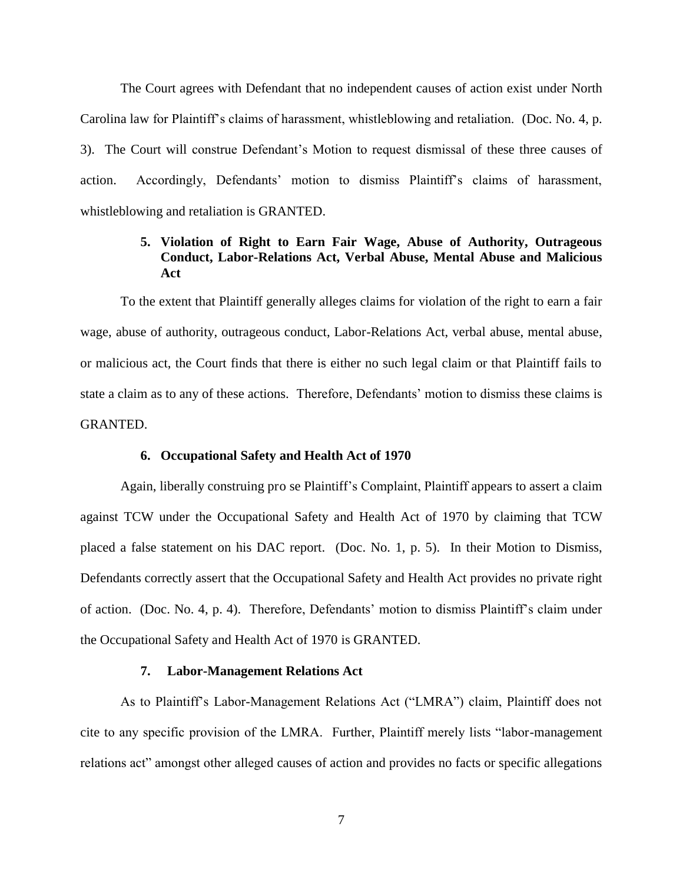The Court agrees with Defendant that no independent causes of action exist under North Carolina law for Plaintiff's claims of harassment, whistleblowing and retaliation. (Doc. No. 4, p. 3). The Court will construe Defendant's Motion to request dismissal of these three causes of action. Accordingly, Defendants' motion to dismiss Plaintiff's claims of harassment, whistleblowing and retaliation is GRANTED.

# **5. Violation of Right to Earn Fair Wage, Abuse of Authority, Outrageous Conduct, Labor-Relations Act, Verbal Abuse, Mental Abuse and Malicious Act**

To the extent that Plaintiff generally alleges claims for violation of the right to earn a fair wage, abuse of authority, outrageous conduct, Labor-Relations Act, verbal abuse, mental abuse, or malicious act, the Court finds that there is either no such legal claim or that Plaintiff fails to state a claim as to any of these actions. Therefore, Defendants' motion to dismiss these claims is GRANTED.

### **6. Occupational Safety and Health Act of 1970**

Again, liberally construing pro se Plaintiff's Complaint, Plaintiff appears to assert a claim against TCW under the Occupational Safety and Health Act of 1970 by claiming that TCW placed a false statement on his DAC report. (Doc. No. 1, p. 5). In their Motion to Dismiss, Defendants correctly assert that the Occupational Safety and Health Act provides no private right of action. (Doc. No. 4, p. 4). Therefore, Defendants' motion to dismiss Plaintiff's claim under the Occupational Safety and Health Act of 1970 is GRANTED.

### **7. Labor-Management Relations Act**

As to Plaintiff's Labor-Management Relations Act ("LMRA") claim, Plaintiff does not cite to any specific provision of the LMRA. Further, Plaintiff merely lists "labor-management relations act" amongst other alleged causes of action and provides no facts or specific allegations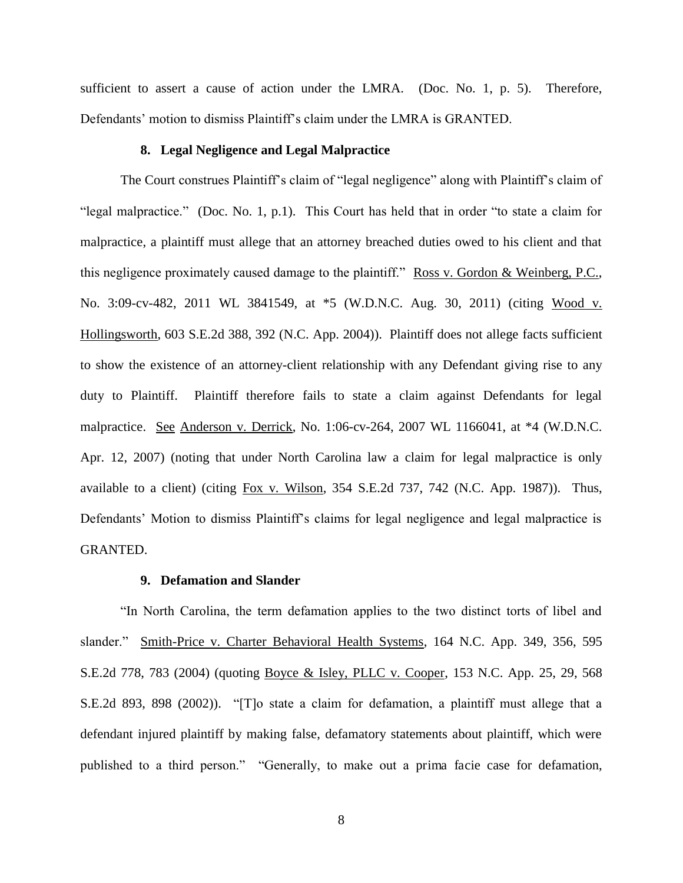sufficient to assert a cause of action under the LMRA. (Doc. No. 1, p. 5). Therefore, Defendants' motion to dismiss Plaintiff's claim under the LMRA is GRANTED.

#### **8. Legal Negligence and Legal Malpractice**

The Court construes Plaintiff's claim of "legal negligence" along with Plaintiff's claim of "legal malpractice." (Doc. No. 1, p.1). This Court has held that in order "to state a claim for malpractice, a plaintiff must allege that an attorney breached duties owed to his client and that this negligence proximately caused damage to the plaintiff." Ross v. Gordon & Weinberg, P.C., No. 3:09-cv-482, 2011 WL 3841549, at \*5 (W.D.N.C. Aug. 30, 2011) (citing Wood v. Hollingsworth, 603 S.E.2d 388, 392 (N.C. App. 2004)). Plaintiff does not allege facts sufficient to show the existence of an attorney-client relationship with any Defendant giving rise to any duty to Plaintiff. Plaintiff therefore fails to state a claim against Defendants for legal malpractice. See Anderson v. Derrick, No. 1:06-cv-264, 2007 WL 1166041, at \*4 (W.D.N.C. Apr. 12, 2007) (noting that under North Carolina law a claim for legal malpractice is only available to a client) (citing Fox v. Wilson, 354 S.E.2d 737, 742 (N.C. App. 1987)). Thus, Defendants' Motion to dismiss Plaintiff's claims for legal negligence and legal malpractice is GRANTED.

#### **9. Defamation and Slander**

"In North Carolina, the term defamation applies to the two distinct torts of libel and slander." Smith-Price v. Charter Behavioral Health Systems, 164 N.C. App. 349, 356, 595 S.E.2d 778, 783 (2004) (quoting Boyce & Isley, PLLC v. Cooper, 153 N.C. App. 25, 29, 568 S.E.2d 893, 898 (2002)). "[T]o state a claim for defamation, a plaintiff must allege that a defendant injured plaintiff by making false, defamatory statements about plaintiff, which were published to a third person." "Generally, to make out a prima facie case for defamation,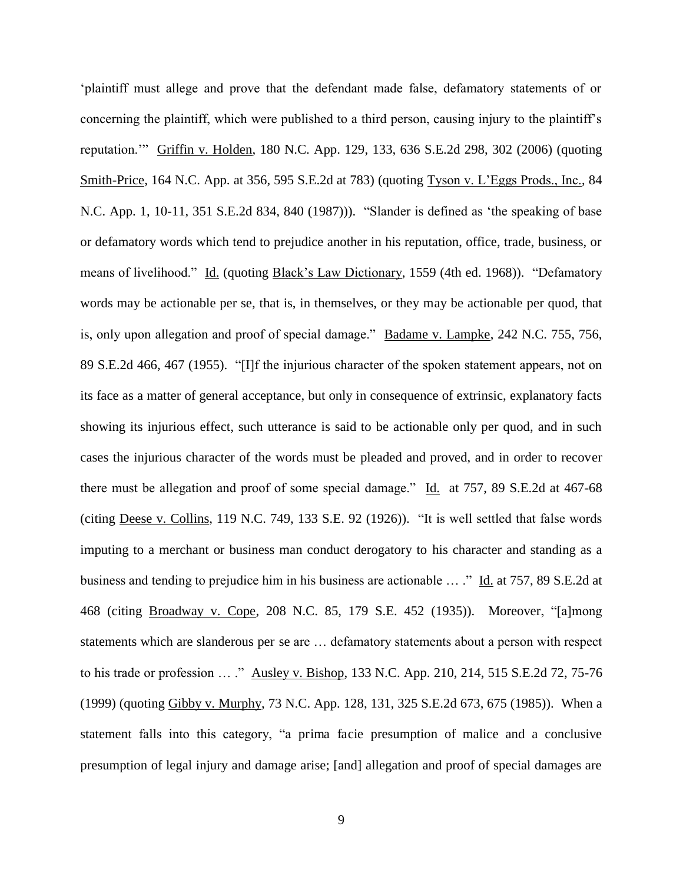'plaintiff must allege and prove that the defendant made false, defamatory statements of or concerning the plaintiff, which were published to a third person, causing injury to the plaintiff's reputation.'" Griffin v. Holden, 180 N.C. App. 129, 133, 636 S.E.2d 298, 302 (2006) (quoting Smith-Price, 164 N.C. App. at 356, 595 S.E.2d at 783) (quoting Tyson v. L'Eggs Prods., Inc., 84 N.C. App. 1, 10-11, 351 S.E.2d 834, 840 (1987))). "Slander is defined as 'the speaking of base or defamatory words which tend to prejudice another in his reputation, office, trade, business, or means of livelihood." Id. (quoting Black's Law Dictionary, 1559 (4th ed. 1968)). "Defamatory words may be actionable per se, that is, in themselves, or they may be actionable per quod, that is, only upon allegation and proof of special damage." Badame v. Lampke, 242 N.C. 755, 756, 89 S.E.2d 466, 467 (1955). "[I]f the injurious character of the spoken statement appears, not on its face as a matter of general acceptance, but only in consequence of extrinsic, explanatory facts showing its injurious effect, such utterance is said to be actionable only per quod, and in such cases the injurious character of the words must be pleaded and proved, and in order to recover there must be allegation and proof of some special damage." Id. at 757, 89 S.E.2d at 467-68 (citing Deese v. Collins, 119 N.C. 749, 133 S.E. 92 (1926)). "It is well settled that false words imputing to a merchant or business man conduct derogatory to his character and standing as a business and tending to prejudice him in his business are actionable … ." Id. at 757, 89 S.E.2d at 468 (citing Broadway v. Cope, 208 N.C. 85, 179 S.E. 452 (1935)). Moreover, "[a]mong statements which are slanderous per se are … defamatory statements about a person with respect to his trade or profession … ." Ausley v. Bishop, 133 N.C. App. 210, 214, 515 S.E.2d 72, 75-76 (1999) (quoting Gibby v. Murphy, 73 N.C. App. 128, 131, 325 S.E.2d 673, 675 (1985)). When a statement falls into this category, "a prima facie presumption of malice and a conclusive presumption of legal injury and damage arise; [and] allegation and proof of special damages are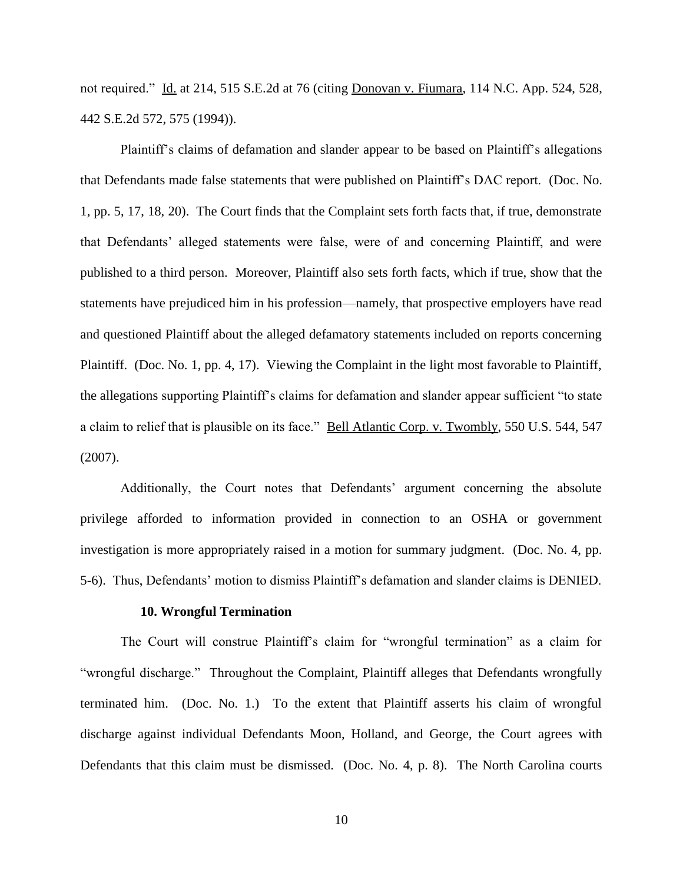not required." Id. at 214, 515 S.E.2d at 76 (citing Donovan v. Fiumara, 114 N.C. App. 524, 528, 442 S.E.2d 572, 575 (1994)).

Plaintiff's claims of defamation and slander appear to be based on Plaintiff's allegations that Defendants made false statements that were published on Plaintiff's DAC report. (Doc. No. 1, pp. 5, 17, 18, 20). The Court finds that the Complaint sets forth facts that, if true, demonstrate that Defendants' alleged statements were false, were of and concerning Plaintiff, and were published to a third person. Moreover, Plaintiff also sets forth facts, which if true, show that the statements have prejudiced him in his profession—namely, that prospective employers have read and questioned Plaintiff about the alleged defamatory statements included on reports concerning Plaintiff. (Doc. No. 1, pp. 4, 17). Viewing the Complaint in the light most favorable to Plaintiff, the allegations supporting Plaintiff's claims for defamation and slander appear sufficient "to state a claim to relief that is plausible on its face." Bell Atlantic Corp. v. Twombly, 550 U.S. 544, 547 (2007).

Additionally, the Court notes that Defendants' argument concerning the absolute privilege afforded to information provided in connection to an OSHA or government investigation is more appropriately raised in a motion for summary judgment. (Doc. No. 4, pp. 5-6). Thus, Defendants' motion to dismiss Plaintiff's defamation and slander claims is DENIED.

#### **10. Wrongful Termination**

 The Court will construe Plaintiff's claim for "wrongful termination" as a claim for "wrongful discharge." Throughout the Complaint, Plaintiff alleges that Defendants wrongfully terminated him. (Doc. No. 1.) To the extent that Plaintiff asserts his claim of wrongful discharge against individual Defendants Moon, Holland, and George, the Court agrees with Defendants that this claim must be dismissed. (Doc. No. 4, p. 8). The North Carolina courts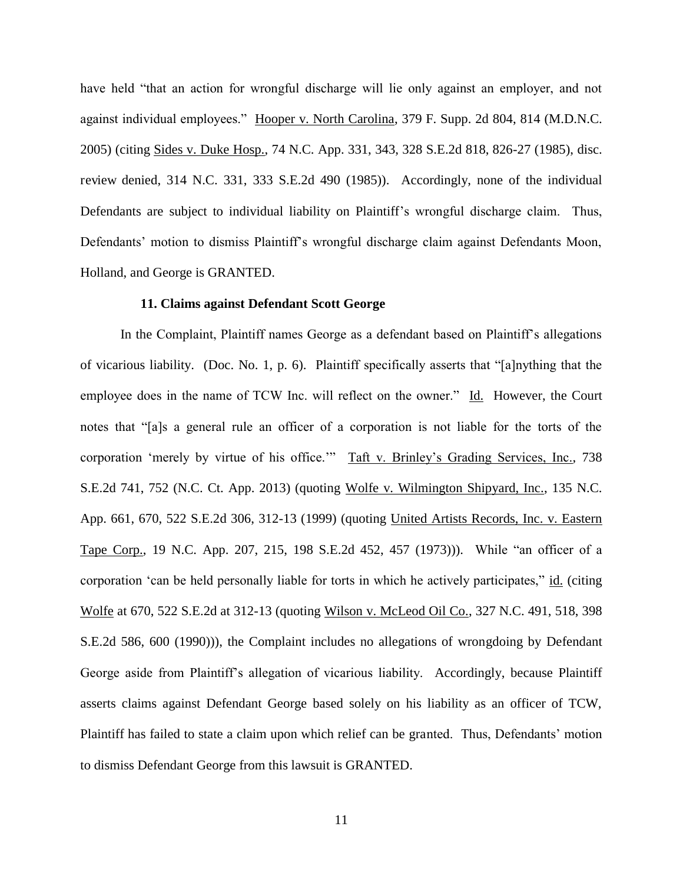have held "that an action for wrongful discharge will lie only against an employer, and not against individual employees." Hooper v. North Carolina, 379 F. Supp. 2d 804, 814 (M.D.N.C. 2005) (citing Sides v. Duke Hosp., 74 N.C. App. 331, 343, 328 S.E.2d 818, 826-27 (1985), disc. review denied, 314 N.C. 331, 333 S.E.2d 490 (1985)). Accordingly, none of the individual Defendants are subject to individual liability on Plaintiff's wrongful discharge claim. Thus, Defendants' motion to dismiss Plaintiff's wrongful discharge claim against Defendants Moon, Holland, and George is GRANTED.

### **11. Claims against Defendant Scott George**

In the Complaint, Plaintiff names George as a defendant based on Plaintiff's allegations of vicarious liability. (Doc. No. 1, p. 6). Plaintiff specifically asserts that "[a]nything that the employee does in the name of TCW Inc. will reflect on the owner." Id. However, the Court notes that "[a]s a general rule an officer of a corporation is not liable for the torts of the corporation 'merely by virtue of his office.'" Taft v. Brinley's Grading Services, Inc., 738 S.E.2d 741, 752 (N.C. Ct. App. 2013) (quoting Wolfe v. Wilmington Shipyard, Inc., 135 N.C. App. 661, 670, 522 S.E.2d 306, 312-13 (1999) (quoting United Artists Records, Inc. v. Eastern Tape Corp., 19 N.C. App. 207, 215, 198 S.E.2d 452, 457 (1973))). While "an officer of a corporation 'can be held personally liable for torts in which he actively participates," id. (citing Wolfe at 670, 522 S.E.2d at 312-13 (quoting Wilson v. McLeod Oil Co., 327 N.C. 491, 518, 398 S.E.2d 586, 600 (1990))), the Complaint includes no allegations of wrongdoing by Defendant George aside from Plaintiff's allegation of vicarious liability. Accordingly, because Plaintiff asserts claims against Defendant George based solely on his liability as an officer of TCW, Plaintiff has failed to state a claim upon which relief can be granted. Thus, Defendants' motion to dismiss Defendant George from this lawsuit is GRANTED.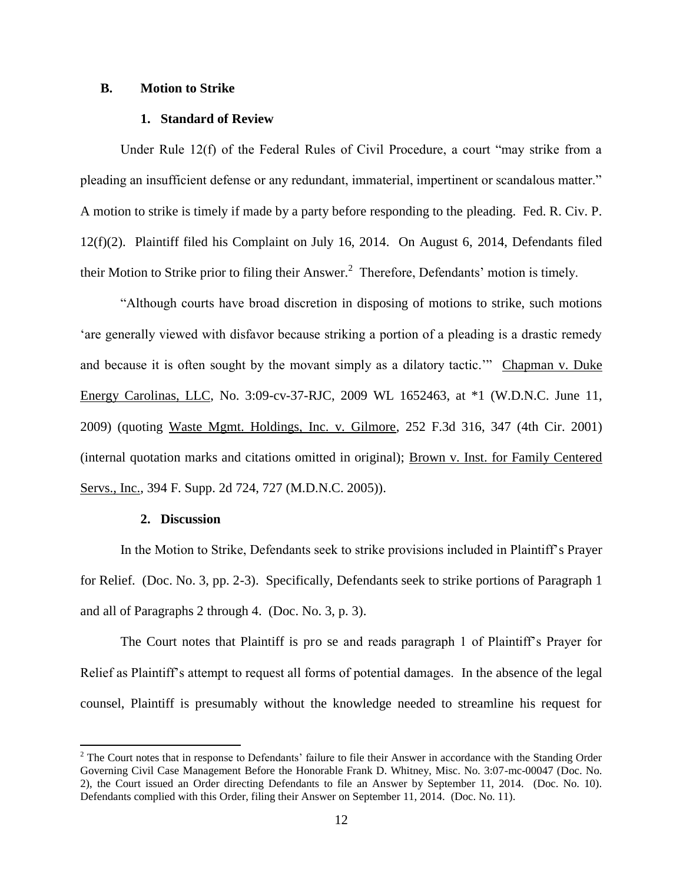#### **B. Motion to Strike**

#### **1. Standard of Review**

Under Rule 12(f) of the Federal Rules of Civil Procedure, a court "may strike from a pleading an insufficient defense or any redundant, immaterial, impertinent or scandalous matter." A motion to strike is timely if made by a party before responding to the pleading. Fed. R. Civ. P. 12(f)(2). Plaintiff filed his Complaint on July 16, 2014. On August 6, 2014, Defendants filed their Motion to Strike prior to filing their Answer.<sup>2</sup> Therefore, Defendants' motion is timely.

"Although courts have broad discretion in disposing of motions to strike, such motions 'are generally viewed with disfavor because striking a portion of a pleading is a drastic remedy and because it is often sought by the movant simply as a dilatory tactic.'" Chapman v. Duke Energy Carolinas, LLC, No. 3:09-cv-37-RJC, 2009 WL 1652463, at \*1 (W.D.N.C. June 11, 2009) (quoting Waste Mgmt. Holdings, Inc. v. Gilmore, 252 F.3d 316, 347 (4th Cir. 2001) (internal quotation marks and citations omitted in original); Brown v. Inst. for Family Centered Servs., Inc., 394 F. Supp. 2d 724, 727 (M.D.N.C. 2005)).

### **2. Discussion**

 $\overline{a}$ 

In the Motion to Strike, Defendants seek to strike provisions included in Plaintiff's Prayer for Relief. (Doc. No. 3, pp. 2-3). Specifically, Defendants seek to strike portions of Paragraph 1 and all of Paragraphs 2 through 4. (Doc. No. 3, p. 3).

 The Court notes that Plaintiff is pro se and reads paragraph 1 of Plaintiff's Prayer for Relief as Plaintiff's attempt to request all forms of potential damages. In the absence of the legal counsel, Plaintiff is presumably without the knowledge needed to streamline his request for

 $2^2$  The Court notes that in response to Defendants' failure to file their Answer in accordance with the Standing Order Governing Civil Case Management Before the Honorable Frank D. Whitney, Misc. No. 3:07-mc-00047 (Doc. No. 2), the Court issued an Order directing Defendants to file an Answer by September 11, 2014. (Doc. No. 10). Defendants complied with this Order, filing their Answer on September 11, 2014. (Doc. No. 11).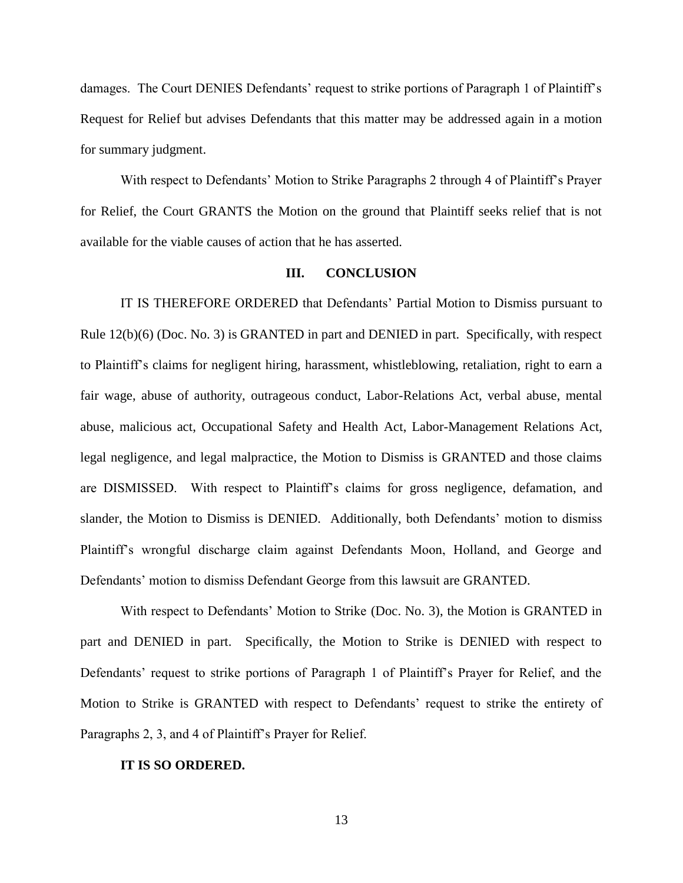damages. The Court DENIES Defendants' request to strike portions of Paragraph 1 of Plaintiff's Request for Relief but advises Defendants that this matter may be addressed again in a motion for summary judgment.

With respect to Defendants' Motion to Strike Paragraphs 2 through 4 of Plaintiff's Prayer for Relief, the Court GRANTS the Motion on the ground that Plaintiff seeks relief that is not available for the viable causes of action that he has asserted.

### **III. CONCLUSION**

IT IS THEREFORE ORDERED that Defendants' Partial Motion to Dismiss pursuant to Rule 12(b)(6) (Doc. No. 3) is GRANTED in part and DENIED in part. Specifically, with respect to Plaintiff's claims for negligent hiring, harassment, whistleblowing, retaliation, right to earn a fair wage, abuse of authority, outrageous conduct, Labor-Relations Act, verbal abuse, mental abuse, malicious act, Occupational Safety and Health Act, Labor-Management Relations Act, legal negligence, and legal malpractice, the Motion to Dismiss is GRANTED and those claims are DISMISSED. With respect to Plaintiff's claims for gross negligence, defamation, and slander, the Motion to Dismiss is DENIED. Additionally, both Defendants' motion to dismiss Plaintiff's wrongful discharge claim against Defendants Moon, Holland, and George and Defendants' motion to dismiss Defendant George from this lawsuit are GRANTED.

With respect to Defendants' Motion to Strike (Doc. No. 3), the Motion is GRANTED in part and DENIED in part. Specifically, the Motion to Strike is DENIED with respect to Defendants' request to strike portions of Paragraph 1 of Plaintiff's Prayer for Relief, and the Motion to Strike is GRANTED with respect to Defendants' request to strike the entirety of Paragraphs 2, 3, and 4 of Plaintiff's Prayer for Relief.

#### **IT IS SO ORDERED.**

13